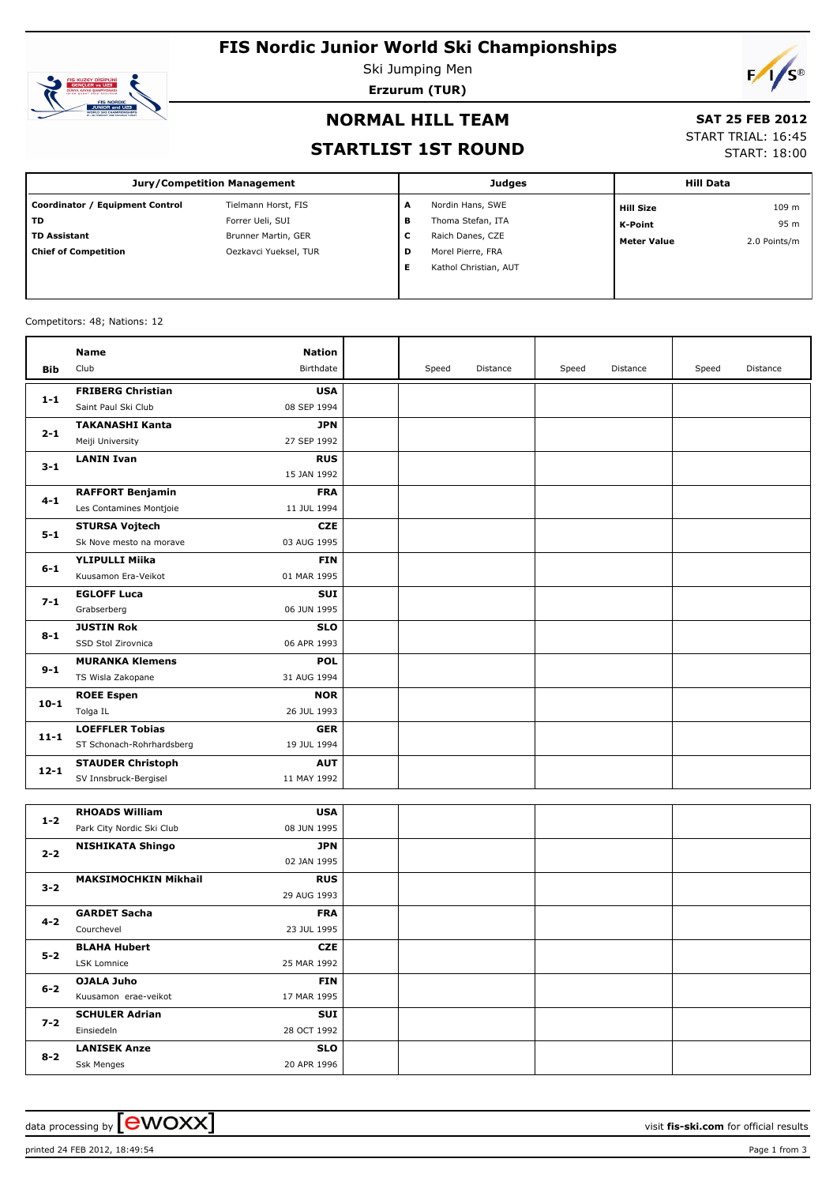# **FIS Nordic Junior World Ski Championships**



Ski Jumping Men **Erzurum (TUR)**



### **NORMAL HILL TEAM**

#### **SAT 25 FEB 2012**

### **STARTLIST 1ST ROUND**

# START TRIAL: 16:45

START: 18:00

| <b>Jury/Competition Management</b> |                       |   | <b>Judges</b>         | <b>Hill Data</b>   |              |  |
|------------------------------------|-----------------------|---|-----------------------|--------------------|--------------|--|
| Coordinator / Equipment Control    | Tielmann Horst, FIS   | A | Nordin Hans, SWE      | <b>Hill Size</b>   | 109 m        |  |
| <b>TD</b>                          | Forrer Ueli, SUI      | в | Thoma Stefan, ITA     | K-Point            | 95 m         |  |
| <b>TD Assistant</b>                | Brunner Martin, GER   | с | Raich Danes, CZE      | <b>Meter Value</b> | 2.0 Points/m |  |
| <b>Chief of Competition</b>        | Oezkavci Yueksel, TUR | D | Morel Pierre, FRA     |                    |              |  |
|                                    |                       |   | Kathol Christian, AUT |                    |              |  |
|                                    |                       |   |                       |                    |              |  |

#### Competitors: 48; Nations: 12

|            | <b>Name</b>               | <b>Nation</b> |       |          |       |          |       |          |
|------------|---------------------------|---------------|-------|----------|-------|----------|-------|----------|
| <b>Bib</b> | Club                      | Birthdate     | Speed | Distance | Speed | Distance | Speed | Distance |
| $1 - 1$    | <b>FRIBERG Christian</b>  | <b>USA</b>    |       |          |       |          |       |          |
|            | Saint Paul Ski Club       | 08 SEP 1994   |       |          |       |          |       |          |
| $2 - 1$    | <b>TAKANASHI Kanta</b>    | <b>JPN</b>    |       |          |       |          |       |          |
|            | Meiji University          | 27 SEP 1992   |       |          |       |          |       |          |
|            | <b>LANIN Ivan</b>         | <b>RUS</b>    |       |          |       |          |       |          |
| $3 - 1$    |                           | 15 JAN 1992   |       |          |       |          |       |          |
| $4 - 1$    | <b>RAFFORT Benjamin</b>   | <b>FRA</b>    |       |          |       |          |       |          |
|            | Les Contamines Montjoie   | 11 JUL 1994   |       |          |       |          |       |          |
| $5 - 1$    | <b>STURSA Vojtech</b>     | <b>CZE</b>    |       |          |       |          |       |          |
|            | Sk Nove mesto na morave   | 03 AUG 1995   |       |          |       |          |       |          |
| $6 - 1$    | <b>YLIPULLI Miika</b>     | <b>FIN</b>    |       |          |       |          |       |          |
|            | Kuusamon Era-Veikot       | 01 MAR 1995   |       |          |       |          |       |          |
| $7 - 1$    | <b>EGLOFF Luca</b>        | <b>SUI</b>    |       |          |       |          |       |          |
|            | Grabserberg               | 06 JUN 1995   |       |          |       |          |       |          |
| $8 - 1$    | <b>JUSTIN Rok</b>         | <b>SLO</b>    |       |          |       |          |       |          |
|            | SSD Stol Zirovnica        | 06 APR 1993   |       |          |       |          |       |          |
| $9 - 1$    | <b>MURANKA Klemens</b>    | <b>POL</b>    |       |          |       |          |       |          |
|            | TS Wisla Zakopane         | 31 AUG 1994   |       |          |       |          |       |          |
| $10 - 1$   | <b>ROEE Espen</b>         | <b>NOR</b>    |       |          |       |          |       |          |
|            | Tolga IL                  | 26 JUL 1993   |       |          |       |          |       |          |
| $11 - 1$   | <b>LOEFFLER Tobias</b>    | <b>GER</b>    |       |          |       |          |       |          |
|            | ST Schonach-Rohrhardsberg | 19 JUL 1994   |       |          |       |          |       |          |
| $12 - 1$   | <b>STAUDER Christoph</b>  | <b>AUT</b>    |       |          |       |          |       |          |
|            | SV Innsbruck-Bergisel     | 11 MAY 1992   |       |          |       |          |       |          |
|            |                           |               |       |          |       |          |       |          |
| $1-2$      | <b>RHOADS William</b>     | <b>USA</b>    |       |          |       |          |       |          |
|            | Park City Nordic Ski Club | 08 JUN 1995   |       |          |       |          |       |          |
| $2 - 2$    | <b>NISHIKATA Shingo</b>   | <b>JPN</b>    |       |          |       |          |       |          |
|            |                           | 02 JAN 1995   |       |          |       |          |       |          |

| <b>NISHIKATA Shingo</b>     | JPN         |  |  |
|-----------------------------|-------------|--|--|
|                             | 02 JAN 1995 |  |  |
| <b>MAKSIMOCHKIN Mikhail</b> | <b>RUS</b>  |  |  |
|                             | 29 AUG 1993 |  |  |
| <b>GARDET Sacha</b>         | <b>FRA</b>  |  |  |
| Courchevel                  | 23 JUL 1995 |  |  |
| <b>BLAHA Hubert</b>         | <b>CZE</b>  |  |  |
| LSK Lomnice                 | 25 MAR 1992 |  |  |
| OJALA Juho                  | <b>FIN</b>  |  |  |
| Kuusamon erae-veikot        | 17 MAR 1995 |  |  |
| <b>SCHULER Adrian</b>       | SUI         |  |  |
| Einsiedeln                  | 28 OCT 1992 |  |  |
| <b>LANISEK Anze</b>         | <b>SLO</b>  |  |  |
| Ssk Menges                  | 20 APR 1996 |  |  |
|                             |             |  |  |

data processing by **CWOXX**  $\blacksquare$  and  $\blacksquare$  and  $\blacksquare$  and  $\blacksquare$  and  $\blacksquare$  and  $\blacksquare$  and  $\blacksquare$  and  $\blacksquare$  and  $\blacksquare$  and  $\blacksquare$  and  $\blacksquare$  and  $\blacksquare$  and  $\blacksquare$  and  $\blacksquare$  and  $\blacksquare$  and  $\blacksquare$  and  $\blacksquare$  and  $\blacksquare$  a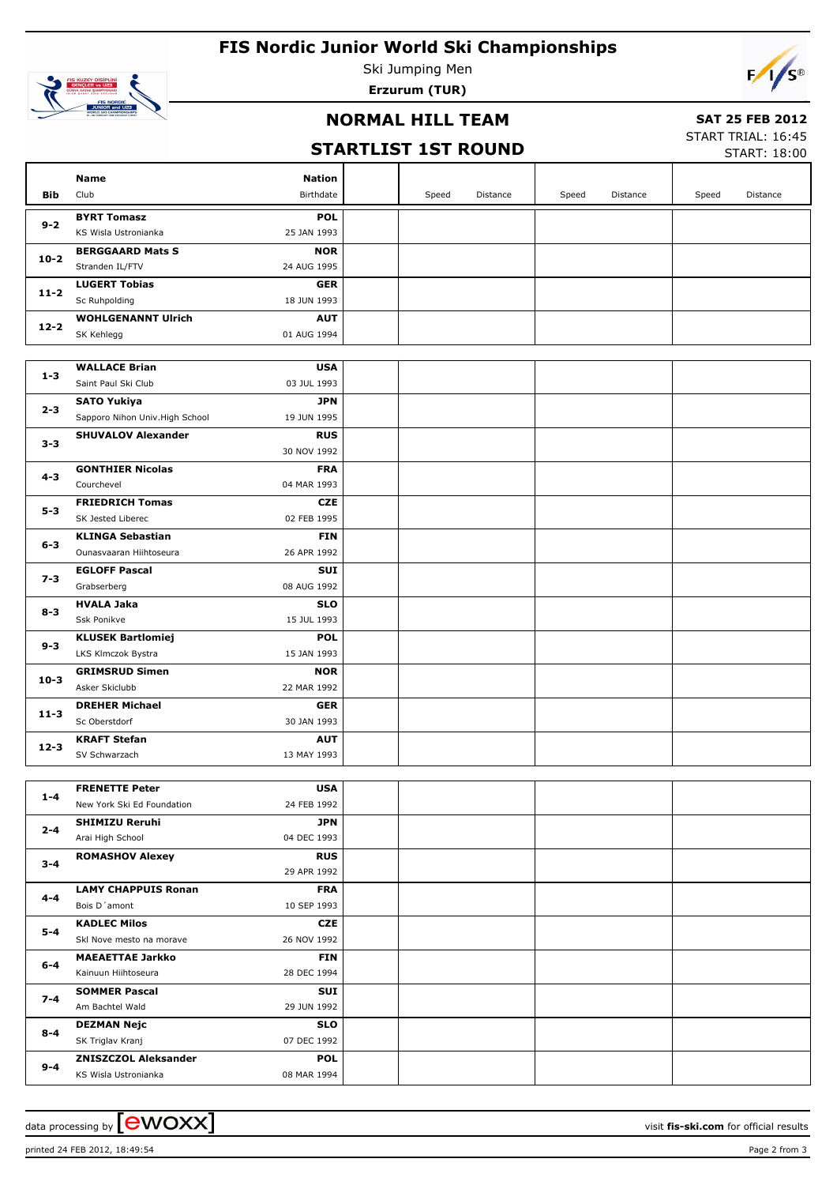# **FIS Nordic Junior World Ski Championships**



Ski Jumping Men **Erzurum (TUR)**

## **NORMAL HILL TEAM**

### **SAT 25 FEB 2012**

# **STARTLIST 1ST ROUND**

START TRIAL: 16:45 START: 18:00

|          | Name                                                | <b>Nation</b>             |       |          |       |          |       |          |
|----------|-----------------------------------------------------|---------------------------|-------|----------|-------|----------|-------|----------|
| Bib      | Club                                                | Birthdate                 | Speed | Distance | Speed | Distance | Speed | Distance |
|          | <b>BYRT Tomasz</b>                                  | <b>POL</b>                |       |          |       |          |       |          |
| $9 - 2$  | KS Wisla Ustronianka                                | 25 JAN 1993               |       |          |       |          |       |          |
|          | <b>BERGGAARD Mats S</b>                             | <b>NOR</b>                |       |          |       |          |       |          |
| $10 - 2$ | Stranden IL/FTV                                     | 24 AUG 1995               |       |          |       |          |       |          |
| $11 - 2$ | <b>LUGERT Tobias</b>                                | <b>GER</b>                |       |          |       |          |       |          |
|          | Sc Ruhpolding                                       | 18 JUN 1993               |       |          |       |          |       |          |
| $12 - 2$ | <b>WOHLGENANNT Ulrich</b>                           | <b>AUT</b>                |       |          |       |          |       |          |
|          | SK Kehlegg                                          | 01 AUG 1994               |       |          |       |          |       |          |
|          |                                                     |                           |       |          |       |          |       |          |
| $1 - 3$  | <b>WALLACE Brian</b>                                | <b>USA</b>                |       |          |       |          |       |          |
|          | Saint Paul Ski Club                                 | 03 JUL 1993               |       |          |       |          |       |          |
| $2 - 3$  | <b>SATO Yukiya</b>                                  | <b>JPN</b>                |       |          |       |          |       |          |
|          | Sapporo Nihon Univ. High School                     | 19 JUN 1995               |       |          |       |          |       |          |
| $3 - 3$  | <b>SHUVALOV Alexander</b>                           | <b>RUS</b><br>30 NOV 1992 |       |          |       |          |       |          |
|          | <b>GONTHIER Nicolas</b>                             | <b>FRA</b>                |       |          |       |          |       |          |
| 4-3      | Courchevel                                          | 04 MAR 1993               |       |          |       |          |       |          |
|          | <b>FRIEDRICH Tomas</b>                              | <b>CZE</b>                |       |          |       |          |       |          |
| $5 - 3$  | SK Jested Liberec                                   | 02 FEB 1995               |       |          |       |          |       |          |
|          | <b>KLINGA Sebastian</b>                             | <b>FIN</b>                |       |          |       |          |       |          |
| $6 - 3$  | Ounasvaaran Hiihtoseura                             | 26 APR 1992               |       |          |       |          |       |          |
|          | <b>EGLOFF Pascal</b>                                | SUI                       |       |          |       |          |       |          |
| $7 - 3$  | Grabserberg                                         | 08 AUG 1992               |       |          |       |          |       |          |
|          | <b>HVALA Jaka</b>                                   | <b>SLO</b>                |       |          |       |          |       |          |
| $8 - 3$  | Ssk Ponikve                                         | 15 JUL 1993               |       |          |       |          |       |          |
|          | <b>KLUSEK Bartlomiej</b>                            | <b>POL</b>                |       |          |       |          |       |          |
| $9 - 3$  | LKS Klmczok Bystra                                  | 15 JAN 1993               |       |          |       |          |       |          |
| $10 - 3$ | <b>GRIMSRUD Simen</b>                               | <b>NOR</b>                |       |          |       |          |       |          |
|          | Asker Skiclubb                                      | 22 MAR 1992               |       |          |       |          |       |          |
| $11 - 3$ | <b>DREHER Michael</b>                               | <b>GER</b>                |       |          |       |          |       |          |
|          | Sc Oberstdorf                                       | 30 JAN 1993               |       |          |       |          |       |          |
| $12 - 3$ | <b>KRAFT Stefan</b>                                 | <b>AUT</b>                |       |          |       |          |       |          |
|          | SV Schwarzach                                       | 13 MAY 1993               |       |          |       |          |       |          |
|          |                                                     |                           |       |          |       |          |       |          |
| $1 - 4$  | <b>FRENETTE Peter</b><br>New York Ski Ed Foundation | <b>USA</b><br>24 FEB 1992 |       |          |       |          |       |          |
|          | <b>SHIMIZU Reruhi</b>                               | JPN                       |       |          |       |          |       |          |
| $2 - 4$  | Arai High School                                    | 04 DEC 1993               |       |          |       |          |       |          |
|          | <b>ROMASHOV Alexey</b>                              | <b>RUS</b>                |       |          |       |          |       |          |
| $3 - 4$  |                                                     | 29 APR 1992               |       |          |       |          |       |          |
|          | <b>LAMY CHAPPUIS Ronan</b>                          | <b>FRA</b>                |       |          |       |          |       |          |
| 4-4      | Bois D'amont                                        | 10 SEP 1993               |       |          |       |          |       |          |
|          | <b>KADLEC Milos</b>                                 | CZE                       |       |          |       |          |       |          |
| 5-4      | Skl Nove mesto na morave                            | 26 NOV 1992               |       |          |       |          |       |          |
|          | <b>MAEAETTAE Jarkko</b>                             | <b>FIN</b>                |       |          |       |          |       |          |
| $6-4$    | Kainuun Hiihtoseura                                 | 28 DEC 1994               |       |          |       |          |       |          |
| $7 - 4$  | <b>SOMMER Pascal</b>                                | SUI                       |       |          |       |          |       |          |
|          | Am Bachtel Wald                                     | 29 JUN 1992               |       |          |       |          |       |          |
| $8 - 4$  | <b>DEZMAN Nejc</b>                                  | <b>SLO</b>                |       |          |       |          |       |          |
|          | SK Triglav Kranj                                    | 07 DEC 1992               |       |          |       |          |       |          |
| $9 - 4$  | <b>ZNISZCZOL Aleksander</b>                         | <b>POL</b>                |       |          |       |          |       |          |
|          | KS Wisla Ustronianka                                | 08 MAR 1994               |       |          |       |          |       |          |

data processing by **CWOXX**  $\blacksquare$  and  $\blacksquare$  and  $\blacksquare$  and  $\blacksquare$  and  $\blacksquare$  and  $\blacksquare$  and  $\blacksquare$  and  $\blacksquare$  and  $\blacksquare$  and  $\blacksquare$  and  $\blacksquare$  and  $\blacksquare$  and  $\blacksquare$  and  $\blacksquare$  and  $\blacksquare$  and  $\blacksquare$  and  $\blacksquare$  and  $\blacksquare$  a